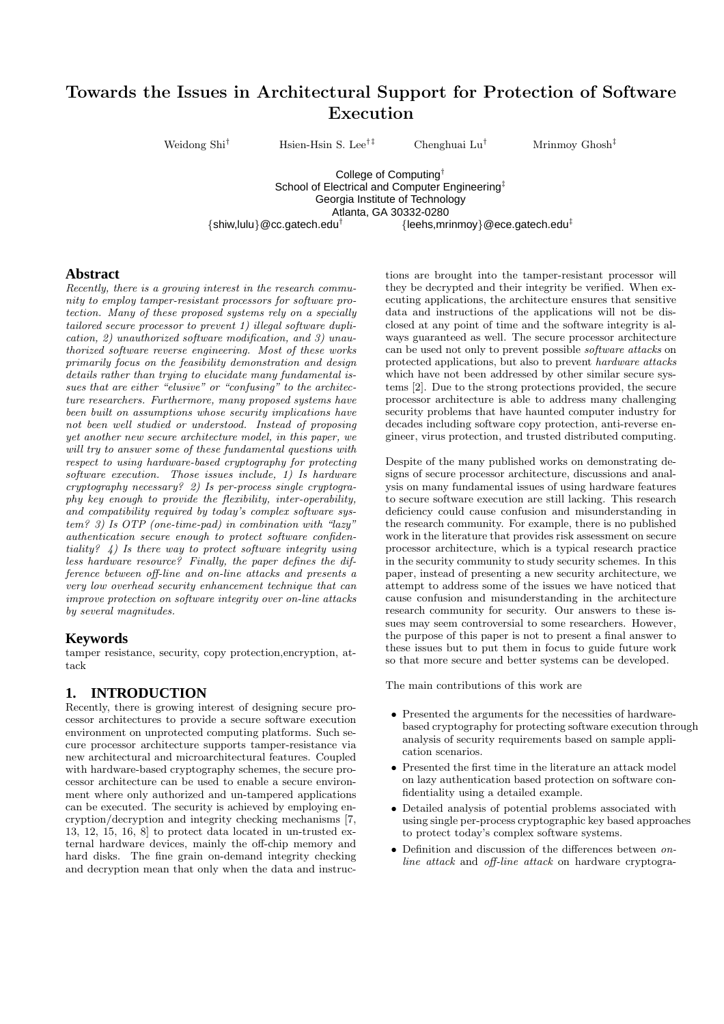# Towards the Issues in Architectural Support for Protection of Software Execution

Weidong Shi<sup>†</sup> Hsien-Hsin S. Lee<sup>†‡</sup> Chenghuai Lu<sup>†</sup> Mrinmoy Ghosh<sup>‡</sup>

College of Computing† School of Electrical and Computer Engineering<sup>‡</sup> Georgia Institute of Technology Atlanta, GA 30332-0280  $\{\text{shiw}, \text{lulu}\}$ @cc.gatech.edu<sup>†</sup>  ${[leehs.mrimov]}@ece.aatech.edu<sup>†</sup>$ 

#### **Abstract**

Recently, there is a growing interest in the research community to employ tamper-resistant processors for software protection. Many of these proposed systems rely on a specially tailored secure processor to prevent 1) illegal software duplication, 2) unauthorized software modification, and 3) unauthorized software reverse engineering. Most of these works primarily focus on the feasibility demonstration and design details rather than trying to elucidate many fundamental issues that are either "elusive" or "confusing" to the architecture researchers. Furthermore, many proposed systems have been built on assumptions whose security implications have not been well studied or understood. Instead of proposing yet another new secure architecture model, in this paper, we will try to answer some of these fundamental questions with respect to using hardware-based cryptography for protecting software execution. Those issues include, 1) Is hardware cryptography necessary? 2) Is per-process single cryptography key enough to provide the flexibility, inter-operability, and compatibility required by today's complex software system? 3) Is OTP (one-time-pad) in combination with "lazy" authentication secure enough to protect software confidentiality?  $\downarrow$ ) Is there way to protect software integrity using less hardware resource? Finally, the paper defines the difference between off-line and on-line attacks and presents a very low overhead security enhancement technique that can improve protection on software integrity over on-line attacks by several magnitudes.

#### **Keywords**

tamper resistance, security, copy protection,encryption, attack

### **1. INTRODUCTION**

Recently, there is growing interest of designing secure processor architectures to provide a secure software execution environment on unprotected computing platforms. Such secure processor architecture supports tamper-resistance via new architectural and microarchitectural features. Coupled with hardware-based cryptography schemes, the secure processor architecture can be used to enable a secure environment where only authorized and un-tampered applications can be executed. The security is achieved by employing encryption/decryption and integrity checking mechanisms [7, 13, 12, 15, 16, 8] to protect data located in un-trusted external hardware devices, mainly the off-chip memory and hard disks. The fine grain on-demand integrity checking and decryption mean that only when the data and instruc-

tions are brought into the tamper-resistant processor will they be decrypted and their integrity be verified. When executing applications, the architecture ensures that sensitive data and instructions of the applications will not be disclosed at any point of time and the software integrity is always guaranteed as well. The secure processor architecture can be used not only to prevent possible software attacks on protected applications, but also to prevent hardware attacks which have not been addressed by other similar secure systems [2]. Due to the strong protections provided, the secure processor architecture is able to address many challenging security problems that have haunted computer industry for decades including software copy protection, anti-reverse engineer, virus protection, and trusted distributed computing.

Despite of the many published works on demonstrating designs of secure processor architecture, discussions and analysis on many fundamental issues of using hardware features to secure software execution are still lacking. This research deficiency could cause confusion and misunderstanding in the research community. For example, there is no published work in the literature that provides risk assessment on secure processor architecture, which is a typical research practice in the security community to study security schemes. In this paper, instead of presenting a new security architecture, we attempt to address some of the issues we have noticed that cause confusion and misunderstanding in the architecture research community for security. Our answers to these issues may seem controversial to some researchers. However, the purpose of this paper is not to present a final answer to these issues but to put them in focus to guide future work so that more secure and better systems can be developed.

The main contributions of this work are

- Presented the arguments for the necessities of hardwarebased cryptography for protecting software execution through analysis of security requirements based on sample application scenarios.
- Presented the first time in the literature an attack model on lazy authentication based protection on software confidentiality using a detailed example.
- Detailed analysis of potential problems associated with using single per-process cryptographic key based approaches to protect today's complex software systems.
- Definition and discussion of the differences between *on*line attack and off-line attack on hardware cryptogra-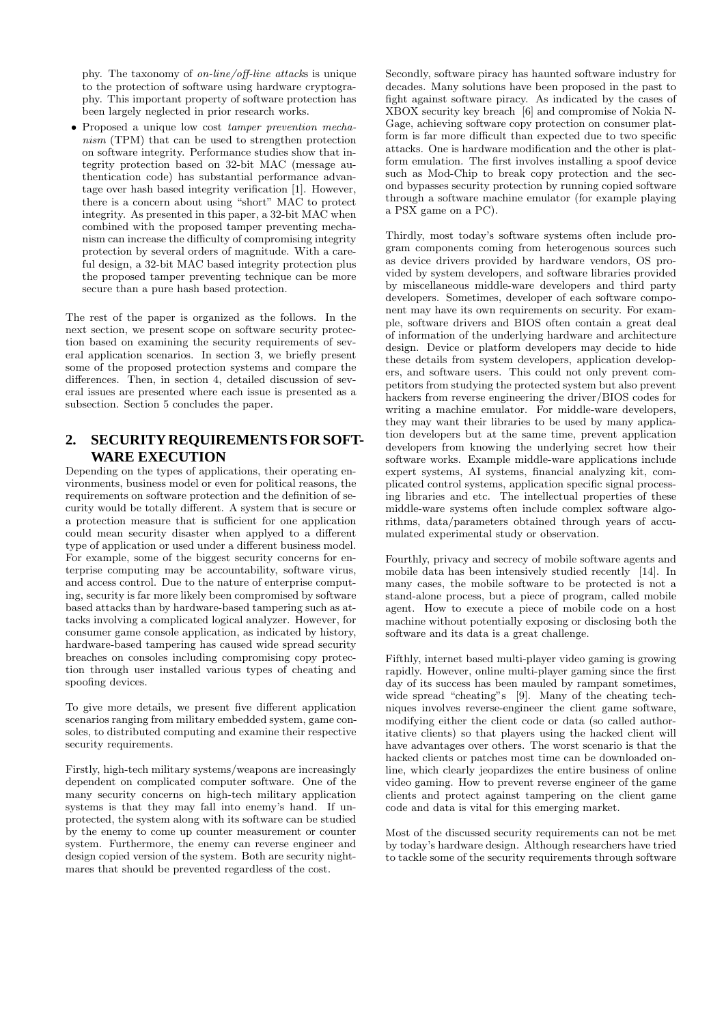phy. The taxonomy of on-line/off-line attacks is unique to the protection of software using hardware cryptography. This important property of software protection has been largely neglected in prior research works.

• Proposed a unique low cost tamper prevention mechanism (TPM) that can be used to strengthen protection on software integrity. Performance studies show that integrity protection based on 32-bit MAC (message authentication code) has substantial performance advantage over hash based integrity verification [1]. However, there is a concern about using "short" MAC to protect integrity. As presented in this paper, a 32-bit MAC when combined with the proposed tamper preventing mechanism can increase the difficulty of compromising integrity protection by several orders of magnitude. With a careful design, a 32-bit MAC based integrity protection plus the proposed tamper preventing technique can be more secure than a pure hash based protection.

The rest of the paper is organized as the follows. In the next section, we present scope on software security protection based on examining the security requirements of several application scenarios. In section 3, we briefly present some of the proposed protection systems and compare the differences. Then, in section 4, detailed discussion of several issues are presented where each issue is presented as a subsection. Section 5 concludes the paper.

## **2. SECURITY REQUIREMENTS FOR SOFT-WARE EXECUTION**

Depending on the types of applications, their operating environments, business model or even for political reasons, the requirements on software protection and the definition of security would be totally different. A system that is secure or a protection measure that is sufficient for one application could mean security disaster when applyed to a different type of application or used under a different business model. For example, some of the biggest security concerns for enterprise computing may be accountability, software virus, and access control. Due to the nature of enterprise computing, security is far more likely been compromised by software based attacks than by hardware-based tampering such as attacks involving a complicated logical analyzer. However, for consumer game console application, as indicated by history, hardware-based tampering has caused wide spread security breaches on consoles including compromising copy protection through user installed various types of cheating and spoofing devices.

To give more details, we present five different application scenarios ranging from military embedded system, game consoles, to distributed computing and examine their respective security requirements.

Firstly, high-tech military systems/weapons are increasingly dependent on complicated computer software. One of the many security concerns on high-tech military application systems is that they may fall into enemy's hand. If unprotected, the system along with its software can be studied by the enemy to come up counter measurement or counter system. Furthermore, the enemy can reverse engineer and design copied version of the system. Both are security nightmares that should be prevented regardless of the cost.

Secondly, software piracy has haunted software industry for decades. Many solutions have been proposed in the past to fight against software piracy. As indicated by the cases of XBOX security key breach [6] and compromise of Nokia N-Gage, achieving software copy protection on consumer platform is far more difficult than expected due to two specific attacks. One is hardware modification and the other is platform emulation. The first involves installing a spoof device such as Mod-Chip to break copy protection and the second bypasses security protection by running copied software through a software machine emulator (for example playing a PSX game on a PC).

Thirdly, most today's software systems often include program components coming from heterogenous sources such as device drivers provided by hardware vendors, OS provided by system developers, and software libraries provided by miscellaneous middle-ware developers and third party developers. Sometimes, developer of each software component may have its own requirements on security. For example, software drivers and BIOS often contain a great deal of information of the underlying hardware and architecture design. Device or platform developers may decide to hide these details from system developers, application developers, and software users. This could not only prevent competitors from studying the protected system but also prevent hackers from reverse engineering the driver/BIOS codes for writing a machine emulator. For middle-ware developers, they may want their libraries to be used by many application developers but at the same time, prevent application developers from knowing the underlying secret how their software works. Example middle-ware applications include expert systems, AI systems, financial analyzing kit, complicated control systems, application specific signal processing libraries and etc. The intellectual properties of these middle-ware systems often include complex software algorithms, data/parameters obtained through years of accumulated experimental study or observation.

Fourthly, privacy and secrecy of mobile software agents and mobile data has been intensively studied recently [14]. In many cases, the mobile software to be protected is not a stand-alone process, but a piece of program, called mobile agent. How to execute a piece of mobile code on a host machine without potentially exposing or disclosing both the software and its data is a great challenge.

Fifthly, internet based multi-player video gaming is growing rapidly. However, online multi-player gaming since the first day of its success has been mauled by rampant sometimes, wide spread "cheating"s [9]. Many of the cheating techniques involves reverse-engineer the client game software, modifying either the client code or data (so called authoritative clients) so that players using the hacked client will have advantages over others. The worst scenario is that the hacked clients or patches most time can be downloaded online, which clearly jeopardizes the entire business of online video gaming. How to prevent reverse engineer of the game clients and protect against tampering on the client game code and data is vital for this emerging market.

Most of the discussed security requirements can not be met by today's hardware design. Although researchers have tried to tackle some of the security requirements through software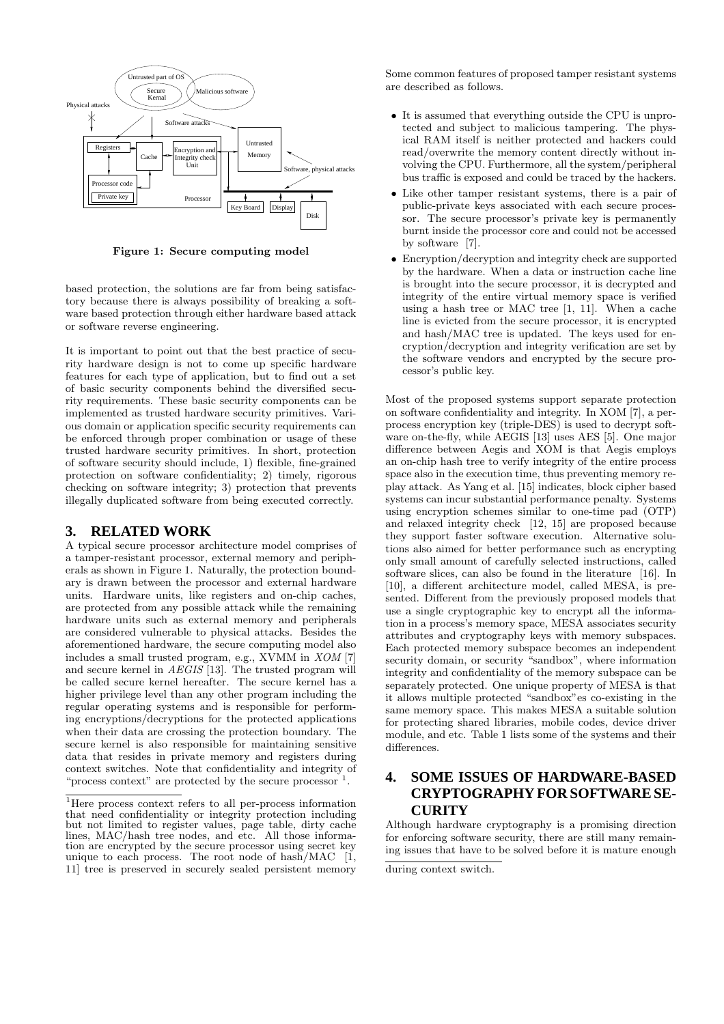

Figure 1: Secure computing model

based protection, the solutions are far from being satisfactory because there is always possibility of breaking a software based protection through either hardware based attack or software reverse engineering.

It is important to point out that the best practice of security hardware design is not to come up specific hardware features for each type of application, but to find out a set of basic security components behind the diversified security requirements. These basic security components can be implemented as trusted hardware security primitives. Various domain or application specific security requirements can be enforced through proper combination or usage of these trusted hardware security primitives. In short, protection of software security should include, 1) flexible, fine-grained protection on software confidentiality; 2) timely, rigorous checking on software integrity; 3) protection that prevents illegally duplicated software from being executed correctly.

#### **3. RELATED WORK**

A typical secure processor architecture model comprises of a tamper-resistant processor, external memory and peripherals as shown in Figure 1. Naturally, the protection boundary is drawn between the processor and external hardware units. Hardware units, like registers and on-chip caches, are protected from any possible attack while the remaining hardware units such as external memory and peripherals are considered vulnerable to physical attacks. Besides the aforementioned hardware, the secure computing model also includes a small trusted program, e.g., XVMM in XOM [7] and secure kernel in AEGIS [13]. The trusted program will be called secure kernel hereafter. The secure kernel has a higher privilege level than any other program including the regular operating systems and is responsible for performing encryptions/decryptions for the protected applications when their data are crossing the protection boundary. The secure kernel is also responsible for maintaining sensitive data that resides in private memory and registers during context switches. Note that confidentiality and integrity of "process context" are protected by the secure processor <sup>1</sup>.

Some common features of proposed tamper resistant systems are described as follows.

- It is assumed that everything outside the CPU is unprotected and subject to malicious tampering. The physical RAM itself is neither protected and hackers could read/overwrite the memory content directly without involving the CPU. Furthermore, all the system/peripheral bus traffic is exposed and could be traced by the hackers.
- Like other tamper resistant systems, there is a pair of public-private keys associated with each secure processor. The secure processor's private key is permanently burnt inside the processor core and could not be accessed by software [7].
- Encryption/decryption and integrity check are supported by the hardware. When a data or instruction cache line is brought into the secure processor, it is decrypted and integrity of the entire virtual memory space is verified using a hash tree or MAC tree  $[1, 11]$ . When a cache line is evicted from the secure processor, it is encrypted and hash/MAC tree is updated. The keys used for encryption/decryption and integrity verification are set by the software vendors and encrypted by the secure processor's public key.

Most of the proposed systems support separate protection on software confidentiality and integrity. In XOM [7], a perprocess encryption key (triple-DES) is used to decrypt software on-the-fly, while AEGIS [13] uses AES [5]. One major difference between Aegis and XOM is that Aegis employs an on-chip hash tree to verify integrity of the entire process space also in the execution time, thus preventing memory replay attack. As Yang et al. [15] indicates, block cipher based systems can incur substantial performance penalty. Systems using encryption schemes similar to one-time pad (OTP) and relaxed integrity check [12, 15] are proposed because they support faster software execution. Alternative solutions also aimed for better performance such as encrypting only small amount of carefully selected instructions, called software slices, can also be found in the literature [16]. In [10], a different architecture model, called MESA, is presented. Different from the previously proposed models that use a single cryptographic key to encrypt all the information in a process's memory space, MESA associates security attributes and cryptography keys with memory subspaces. Each protected memory subspace becomes an independent security domain, or security "sandbox", where information integrity and confidentiality of the memory subspace can be separately protected. One unique property of MESA is that it allows multiple protected "sandbox"es co-existing in the same memory space. This makes MESA a suitable solution for protecting shared libraries, mobile codes, device driver module, and etc. Table 1 lists some of the systems and their differences.

## **4. SOME ISSUES OF HARDWARE-BASED CRYPTOGRAPHY FOR SOFTWARE SE-CURITY**

Although hardware cryptography is a promising direction for enforcing software security, there are still many remaining issues that have to be solved before it is mature enough

<sup>1</sup>Here process context refers to all per-process information that need confidentiality or integrity protection including but not limited to register values, page table, dirty cache lines, MAC/hash tree nodes, and etc. All those information are encrypted by the secure processor using secret key unique to each process. The root node of hash/MAC  $|\tilde{1},\tilde{1}\rangle$ 11] tree is preserved in securely sealed persistent memory

during context switch.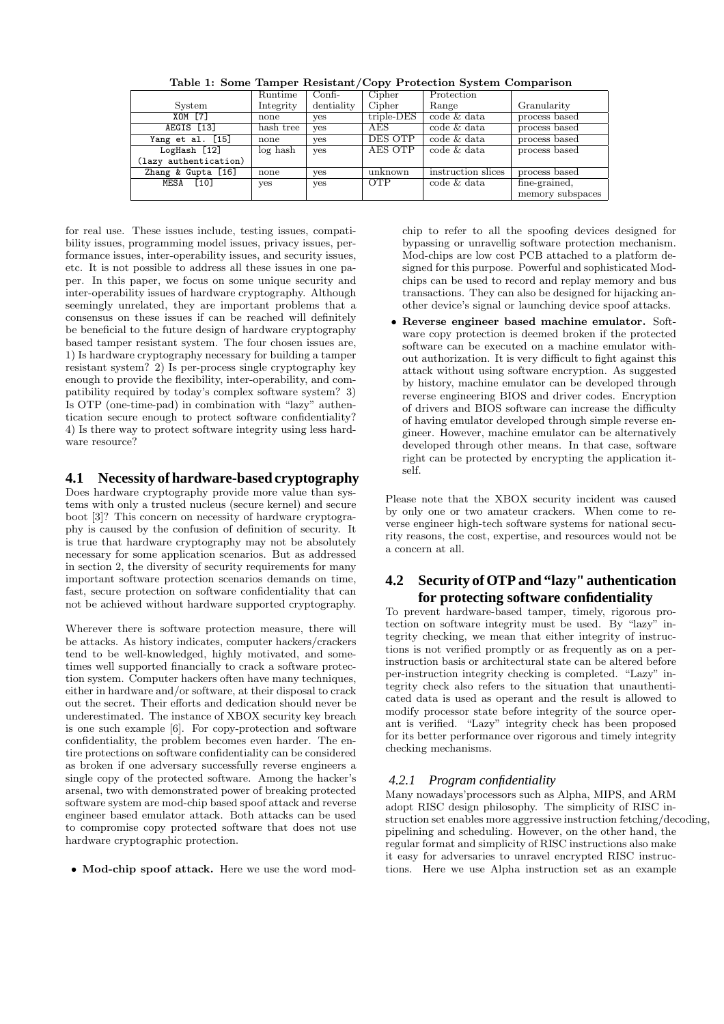|                       | Runtime   | $Confi-$   | Cipher     | Protection         |                  |
|-----------------------|-----------|------------|------------|--------------------|------------------|
| System                | Integrity | dentiality | Cipher     | Range              | Granularity      |
| XOM [7]               | none      | yes        | triple-DES | code & data        | process based    |
| AEGIS [13]            | hash tree | ves        | AES        | code & data        | process based    |
| Yang et al. [15]      | none      | yes        | DES OTP    | code & data        | process based    |
| LogHash $\boxed{12}$  | log hash  | yes        | AES OTP    | code & data        | process based    |
| (lazy authentication) |           |            |            |                    |                  |
| Zhang & Gupta [16]    | none      | yes        | unknown    | instruction slices | process based    |
| [10]<br>MESA          | yes       | yes        | <b>OTP</b> | code & data        | fine-grained,    |
|                       |           |            |            |                    | memory subspaces |

Table 1: Some Tamper Resistant/Copy Protection System Comparison

for real use. These issues include, testing issues, compatibility issues, programming model issues, privacy issues, performance issues, inter-operability issues, and security issues, etc. It is not possible to address all these issues in one paper. In this paper, we focus on some unique security and inter-operability issues of hardware cryptography. Although seemingly unrelated, they are important problems that a consensus on these issues if can be reached will definitely be beneficial to the future design of hardware cryptography based tamper resistant system. The four chosen issues are, 1) Is hardware cryptography necessary for building a tamper resistant system? 2) Is per-process single cryptography key enough to provide the flexibility, inter-operability, and compatibility required by today's complex software system? 3) Is OTP (one-time-pad) in combination with "lazy" authentication secure enough to protect software confidentiality? 4) Is there way to protect software integrity using less hardware resource?

### **4.1 Necessity of hardware-based cryptography**

Does hardware cryptography provide more value than systems with only a trusted nucleus (secure kernel) and secure boot [3]? This concern on necessity of hardware cryptography is caused by the confusion of definition of security. It is true that hardware cryptography may not be absolutely necessary for some application scenarios. But as addressed in section 2, the diversity of security requirements for many important software protection scenarios demands on time, fast, secure protection on software confidentiality that can not be achieved without hardware supported cryptography.

Wherever there is software protection measure, there will be attacks. As history indicates, computer hackers/crackers tend to be well-knowledged, highly motivated, and sometimes well supported financially to crack a software protection system. Computer hackers often have many techniques, either in hardware and/or software, at their disposal to crack out the secret. Their efforts and dedication should never be underestimated. The instance of XBOX security key breach is one such example [6]. For copy-protection and software confidentiality, the problem becomes even harder. The entire protections on software confidentiality can be considered as broken if one adversary successfully reverse engineers a single copy of the protected software. Among the hacker's arsenal, two with demonstrated power of breaking protected software system are mod-chip based spoof attack and reverse engineer based emulator attack. Both attacks can be used to compromise copy protected software that does not use hardware cryptographic protection.

• Mod-chip spoof attack. Here we use the word mod-

chip to refer to all the spoofing devices designed for bypassing or unravellig software protection mechanism. Mod-chips are low cost PCB attached to a platform designed for this purpose. Powerful and sophisticated Modchips can be used to record and replay memory and bus transactions. They can also be designed for hijacking another device's signal or launching device spoof attacks.

• Reverse engineer based machine emulator. Software copy protection is deemed broken if the protected software can be executed on a machine emulator without authorization. It is very difficult to fight against this attack without using software encryption. As suggested by history, machine emulator can be developed through reverse engineering BIOS and driver codes. Encryption of drivers and BIOS software can increase the difficulty of having emulator developed through simple reverse engineer. However, machine emulator can be alternatively developed through other means. In that case, software right can be protected by encrypting the application itself.

Please note that the XBOX security incident was caused by only one or two amateur crackers. When come to reverse engineer high-tech software systems for national security reasons, the cost, expertise, and resources would not be a concern at all.

### **4.2 Security of OTP and "lazy" authentication for protecting software confidentiality**

To prevent hardware-based tamper, timely, rigorous protection on software integrity must be used. By "lazy" integrity checking, we mean that either integrity of instructions is not verified promptly or as frequently as on a perinstruction basis or architectural state can be altered before per-instruction integrity checking is completed. "Lazy" integrity check also refers to the situation that unauthenticated data is used as operant and the result is allowed to modify processor state before integrity of the source operant is verified. "Lazy" integrity check has been proposed for its better performance over rigorous and timely integrity checking mechanisms.

### *4.2.1 Program confidentiality*

Many nowadays'processors such as Alpha, MIPS, and ARM adopt RISC design philosophy. The simplicity of RISC instruction set enables more aggressive instruction fetching/decoding, pipelining and scheduling. However, on the other hand, the regular format and simplicity of RISC instructions also make it easy for adversaries to unravel encrypted RISC instructions. Here we use Alpha instruction set as an example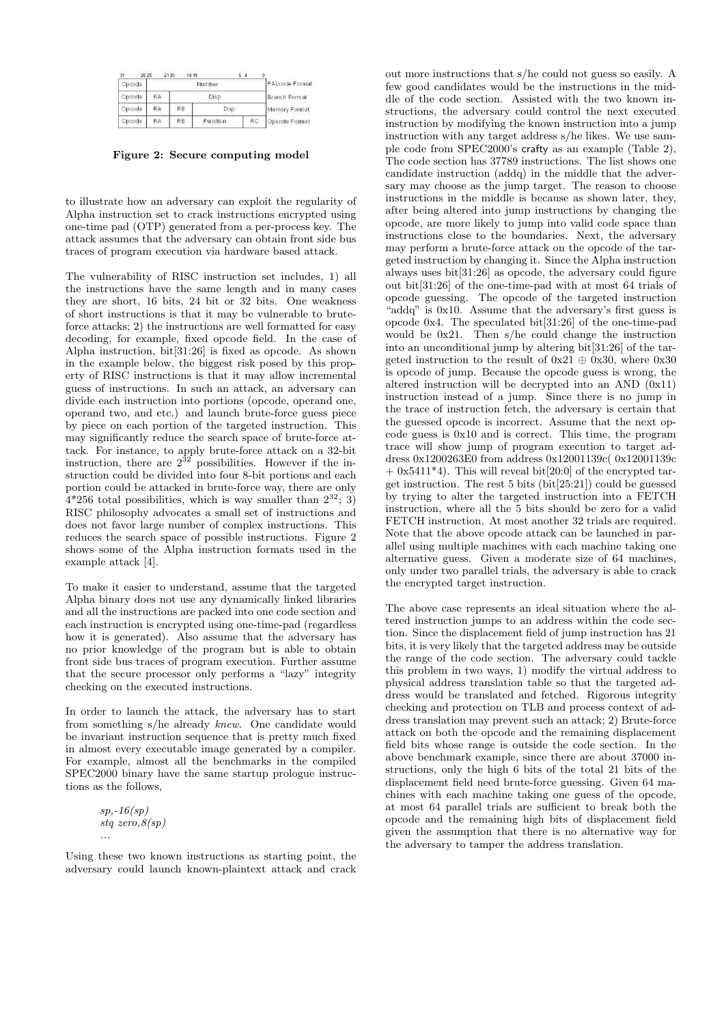| Opcode |           |      | PALcode Format |    |                |
|--------|-----------|------|----------------|----|----------------|
| Opcode | RA        | Disp |                |    | Branch Format  |
| Opcode | ŔΑ        | RB   | Disp           |    | Memory Format  |
| Opcode | <b>RA</b> | RB   | Function       | RC | Operate Format |

Figure 2: Secure computing model

to illustrate how an adversary can exploit the regularity of Alpha instruction set to crack instructions encrypted using one-time pad (OTP) generated from a per-process key. The attack assumes that the adversary can obtain front side bus traces of program execution via hardware based attack.

The vulnerability of RISC instruction set includes, 1) all the instructions have the same length and in many cases they are short, 16 bits, 24 bit or 32 bits. One weakness of short instructions is that it may be vulnerable to bruteforce attacks; 2) the instructions are well formatted for easy decoding, for example, fixed opcode field. In the case of Alpha instruction, bit[31:26] is fixed as opcode. As shown in the example below, the biggest risk posed by this property of RISC instructions is that it may allow incremental guess of instructions. In such an attack, an adversary can divide each instruction into portions (opcode, operand one, operand two, and etc.) and launch brute-force guess piece by piece on each portion of the targeted instruction. This may significantly reduce the search space of brute-force attack. For instance, to apply brute-force attack on a 32-bit instruction, there are  $2^{32}$  possibilities. However if the instruction could be divided into four 8-bit portions and each portion could be attacked in brute-force way, there are only  $4*256$  total possibilities, which is way smaller than  $2^{32}$ ; 3) RISC philosophy advocates a small set of instructions and does not favor large number of complex instructions. This reduces the search space of possible instructions. Figure 2 shows some of the Alpha instruction formats used in the example attack [4].

To make it easier to understand, assume that the targeted Alpha binary does not use any dynamically linked libraries and all the instructions are packed into one code section and each instruction is encrypted using one-time-pad (regardless how it is generated). Also assume that the adversary has no prior knowledge of the program but is able to obtain front side bus traces of program execution. Further assume that the secure processor only performs a "lazy" integrity checking on the executed instructions.

In order to launch the attack, the adversary has to start from something s/he already knew. One candidate would be invariant instruction sequence that is pretty much fixed in almost every executable image generated by a compiler. For example, almost all the benchmarks in the compiled SPEC2000 binary have the same startup prologue instructions as the follows,

$$
sp, -16(sp)
$$
  

$$
stq \text{ zero}, 8(sp)
$$
  

$$
\cdots
$$

Using these two known instructions as starting point, the adversary could launch known-plaintext attack and crack

out more instructions that s/he could not guess so easily. A few good candidates would be the instructions in the middle of the code section. Assisted with the two known instructions, the adversary could control the next executed instruction by modifying the known instruction into a jump instruction with any target address s/he likes. We use sample code from SPEC2000's crafty as an example (Table 2), The code section has 37789 instructions. The list shows one candidate instruction (addq) in the middle that the adversary may choose as the jump target. The reason to choose instructions in the middle is because as shown later, they, after being altered into jump instructions by changing the opcode, are more likely to jump into valid code space than instructions close to the boundaries. Next, the adversary may perform a brute-force attack on the opcode of the targeted instruction by changing it. Since the Alpha instruction always uses bit[31:26] as opcode, the adversary could figure out bit[31:26] of the one-time-pad with at most 64 trials of opcode guessing. The opcode of the targeted instruction "addq" is 0x10. Assume that the adversary's first guess is opcode 0x4. The speculated bit[31:26] of the one-time-pad would be 0x21. Then s/he could change the instruction into an unconditional jump by altering bit[31:26] of the targeted instruction to the result of  $0x21 \oplus 0x30$ , where  $0x30$ is opcode of jump. Because the opcode guess is wrong, the altered instruction will be decrypted into an AND (0x11) instruction instead of a jump. Since there is no jump in the trace of instruction fetch, the adversary is certain that the guessed opcode is incorrect. Assume that the next opcode guess is 0x10 and is correct. This time, the program trace will show jump of program execution to target address 0x1200263E0 from address 0x12001139c( 0x12001139c  $+$  0x5411<sup>\*</sup>4). This will reveal bit[20:0] of the encrypted target instruction. The rest 5 bits (bit[25:21]) could be guessed by trying to alter the targeted instruction into a FETCH instruction, where all the 5 bits should be zero for a valid FETCH instruction. At most another 32 trials are required. Note that the above opcode attack can be launched in parallel using multiple machines with each machine taking one alternative guess. Given a moderate size of 64 machines, only under two parallel trials, the adversary is able to crack the encrypted target instruction.

The above case represents an ideal situation where the altered instruction jumps to an address within the code section. Since the displacement field of jump instruction has 21 bits, it is very likely that the targeted address may be outside the range of the code section. The adversary could tackle this problem in two ways, 1) modify the virtual address to physical address translation table so that the targeted address would be translated and fetched. Rigorous integrity checking and protection on TLB and process context of address translation may prevent such an attack; 2) Brute-force attack on both the opcode and the remaining displacement field bits whose range is outside the code section. In the above benchmark example, since there are about 37000 instructions, only the high 6 bits of the total 21 bits of the displacement field need brute-force guessing. Given 64 machines with each machine taking one guess of the opcode, at most 64 parallel trials are sufficient to break both the opcode and the remaining high bits of displacement field given the assumption that there is no alternative way for the adversary to tamper the address translation.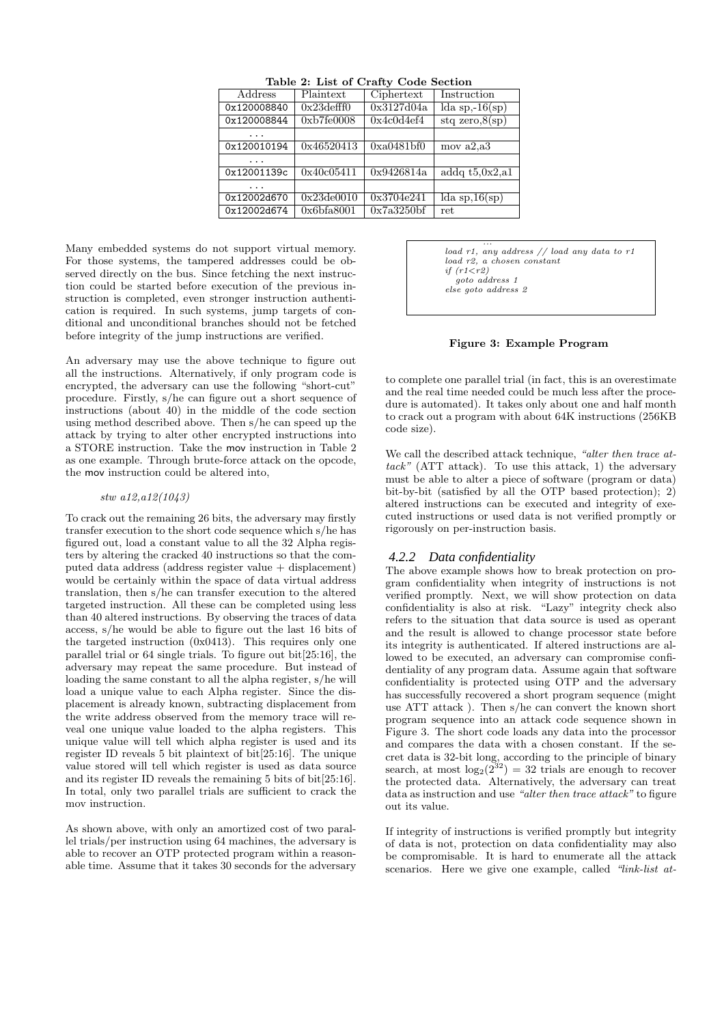| Address     | Plaintext        | Ciphertext          | Instruction         |  |  |  |  |
|-------------|------------------|---------------------|---------------------|--|--|--|--|
| 0x120008840 | $0x23$ defff $0$ | 0x3127d04a          | lda sp,- $16(sp)$   |  |  |  |  |
| 0x120008844 | 0xb7f60008       | 0x4c0d4ef4          | $stq$ zero, $8(sp)$ |  |  |  |  |
|             |                  |                     |                     |  |  |  |  |
| 0x120010194 | 0x46520413       | 0xa0481bf0          | mov $a2.a3$         |  |  |  |  |
|             |                  |                     |                     |  |  |  |  |
| 0x12001139c | 0x40c05411       | $\sqrt{0}x9426814a$ | addq $t5,0x2,a1$    |  |  |  |  |
|             |                  |                     |                     |  |  |  |  |
| 0x12002d670 | $0x23$ de $0010$ | 0x3704e241          | lda sp,16(sp)       |  |  |  |  |
| 0x12002d674 | 0x6bfa8001       | 0x7a3250bf          | ret                 |  |  |  |  |

Table 2: List of Crafty Code Section

Many embedded systems do not support virtual memory. For those systems, the tampered addresses could be observed directly on the bus. Since fetching the next instruction could be started before execution of the previous instruction is completed, even stronger instruction authentication is required. In such systems, jump targets of conditional and unconditional branches should not be fetched before integrity of the jump instructions are verified.

An adversary may use the above technique to figure out all the instructions. Alternatively, if only program code is encrypted, the adversary can use the following "short-cut" procedure. Firstly, s/he can figure out a short sequence of instructions (about 40) in the middle of the code section using method described above. Then s/he can speed up the attack by trying to alter other encrypted instructions into a STORE instruction. Take the mov instruction in Table 2 as one example. Through brute-force attack on the opcode, the mov instruction could be altered into,

#### stw a12,a12(1043)

To crack out the remaining 26 bits, the adversary may firstly transfer execution to the short code sequence which s/he has figured out, load a constant value to all the 32 Alpha registers by altering the cracked 40 instructions so that the computed data address (address register value + displacement) would be certainly within the space of data virtual address translation, then s/he can transfer execution to the altered targeted instruction. All these can be completed using less than 40 altered instructions. By observing the traces of data access, s/he would be able to figure out the last 16 bits of the targeted instruction  $(0x0413)$ . This requires only one parallel trial or 64 single trials. To figure out bit[25:16], the adversary may repeat the same procedure. But instead of loading the same constant to all the alpha register, s/he will load a unique value to each Alpha register. Since the displacement is already known, subtracting displacement from the write address observed from the memory trace will reveal one unique value loaded to the alpha registers. This unique value will tell which alpha register is used and its register ID reveals 5 bit plaintext of bit[25:16]. The unique value stored will tell which register is used as data source and its register ID reveals the remaining 5 bits of bit[25:16]. In total, only two parallel trials are sufficient to crack the mov instruction.

As shown above, with only an amortized cost of two parallel trials/per instruction using 64 machines, the adversary is able to recover an OTP protected program within a reasonable time. Assume that it takes 30 seconds for the adversary

... load  $r1$ , any address  $//$  load any data to  $r1$ load r2, a chosen constant if  $(r1\leq r2)$ goto address 1 else goto address 2

#### Figure 3: Example Program

to complete one parallel trial (in fact, this is an overestimate and the real time needed could be much less after the procedure is automated). It takes only about one and half month to crack out a program with about 64K instructions (256KB code size).

We call the described attack technique, "alter then trace at $tack"$  (ATT attack). To use this attack, 1) the adversary must be able to alter a piece of software (program or data) bit-by-bit (satisfied by all the OTP based protection); 2) altered instructions can be executed and integrity of executed instructions or used data is not verified promptly or rigorously on per-instruction basis.

#### *4.2.2 Data confidentiality*

The above example shows how to break protection on program confidentiality when integrity of instructions is not verified promptly. Next, we will show protection on data confidentiality is also at risk. "Lazy" integrity check also refers to the situation that data source is used as operant and the result is allowed to change processor state before its integrity is authenticated. If altered instructions are allowed to be executed, an adversary can compromise confidentiality of any program data. Assume again that software confidentiality is protected using OTP and the adversary has successfully recovered a short program sequence (might use ATT attack ). Then s/he can convert the known short program sequence into an attack code sequence shown in Figure 3. The short code loads any data into the processor and compares the data with a chosen constant. If the secret data is 32-bit long, according to the principle of binary search, at most  $\log_2(2^{32}) = 32$  trials are enough to recover the protected data. Alternatively, the adversary can treat data as instruction and use "alter then trace attack" to figure out its value.

If integrity of instructions is verified promptly but integrity of data is not, protection on data confidentiality may also be compromisable. It is hard to enumerate all the attack scenarios. Here we give one example, called "link-list at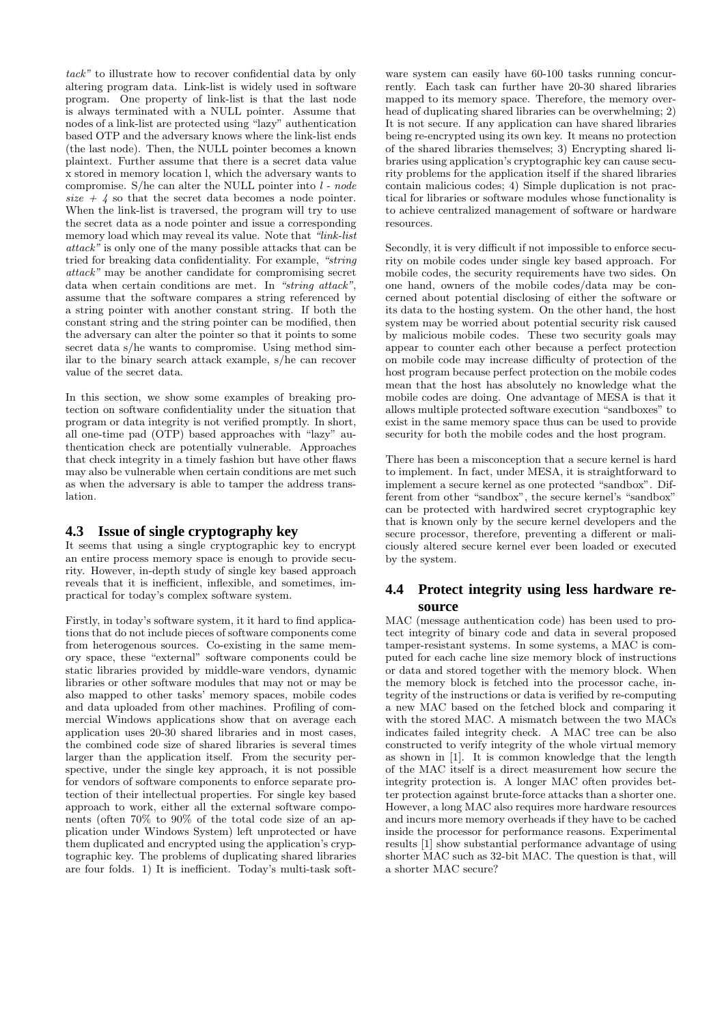tack" to illustrate how to recover confidential data by only altering program data. Link-list is widely used in software program. One property of link-list is that the last node is always terminated with a NULL pointer. Assume that nodes of a link-list are protected using "lazy" authentication based OTP and the adversary knows where the link-list ends (the last node). Then, the NULL pointer becomes a known plaintext. Further assume that there is a secret data value x stored in memory location l, which the adversary wants to compromise. S/he can alter the NULL pointer into  $l$  - node size  $+$  4 so that the secret data becomes a node pointer. When the link-list is traversed, the program will try to use the secret data as a node pointer and issue a corresponding memory load which may reveal its value. Note that "link-list" attack" is only one of the many possible attacks that can be tried for breaking data confidentiality. For example, "string attack" may be another candidate for compromising secret data when certain conditions are met. In "string attack", assume that the software compares a string referenced by a string pointer with another constant string. If both the constant string and the string pointer can be modified, then the adversary can alter the pointer so that it points to some secret data s/he wants to compromise. Using method similar to the binary search attack example, s/he can recover value of the secret data.

In this section, we show some examples of breaking protection on software confidentiality under the situation that program or data integrity is not verified promptly. In short, all one-time pad (OTP) based approaches with "lazy" authentication check are potentially vulnerable. Approaches that check integrity in a timely fashion but have other flaws may also be vulnerable when certain conditions are met such as when the adversary is able to tamper the address translation.

### **4.3 Issue of single cryptography key**

It seems that using a single cryptographic key to encrypt an entire process memory space is enough to provide security. However, in-depth study of single key based approach reveals that it is inefficient, inflexible, and sometimes, impractical for today's complex software system.

Firstly, in today's software system, it it hard to find applications that do not include pieces of software components come from heterogenous sources. Co-existing in the same memory space, these "external" software components could be static libraries provided by middle-ware vendors, dynamic libraries or other software modules that may not or may be also mapped to other tasks' memory spaces, mobile codes and data uploaded from other machines. Profiling of commercial Windows applications show that on average each application uses 20-30 shared libraries and in most cases, the combined code size of shared libraries is several times larger than the application itself. From the security perspective, under the single key approach, it is not possible for vendors of software components to enforce separate protection of their intellectual properties. For single key based approach to work, either all the external software components (often 70% to 90% of the total code size of an application under Windows System) left unprotected or have them duplicated and encrypted using the application's cryptographic key. The problems of duplicating shared libraries are four folds. 1) It is inefficient. Today's multi-task soft-

ware system can easily have 60-100 tasks running concurrently. Each task can further have 20-30 shared libraries mapped to its memory space. Therefore, the memory overhead of duplicating shared libraries can be overwhelming; 2) It is not secure. If any application can have shared libraries being re-encrypted using its own key. It means no protection of the shared libraries themselves; 3) Encrypting shared libraries using application's cryptographic key can cause security problems for the application itself if the shared libraries contain malicious codes; 4) Simple duplication is not practical for libraries or software modules whose functionality is to achieve centralized management of software or hardware resources.

Secondly, it is very difficult if not impossible to enforce security on mobile codes under single key based approach. For mobile codes, the security requirements have two sides. On one hand, owners of the mobile codes/data may be concerned about potential disclosing of either the software or its data to the hosting system. On the other hand, the host system may be worried about potential security risk caused by malicious mobile codes. These two security goals may appear to counter each other because a perfect protection on mobile code may increase difficulty of protection of the host program because perfect protection on the mobile codes mean that the host has absolutely no knowledge what the mobile codes are doing. One advantage of MESA is that it allows multiple protected software execution "sandboxes" to exist in the same memory space thus can be used to provide security for both the mobile codes and the host program.

There has been a misconception that a secure kernel is hard to implement. In fact, under MESA, it is straightforward to implement a secure kernel as one protected "sandbox". Different from other "sandbox", the secure kernel's "sandbox" can be protected with hardwired secret cryptographic key that is known only by the secure kernel developers and the secure processor, therefore, preventing a different or maliciously altered secure kernel ever been loaded or executed by the system.

### **4.4 Protect integrity using less hardware resource**

MAC (message authentication code) has been used to protect integrity of binary code and data in several proposed tamper-resistant systems. In some systems, a MAC is computed for each cache line size memory block of instructions or data and stored together with the memory block. When the memory block is fetched into the processor cache, integrity of the instructions or data is verified by re-computing a new MAC based on the fetched block and comparing it with the stored MAC. A mismatch between the two MACs indicates failed integrity check. A MAC tree can be also constructed to verify integrity of the whole virtual memory as shown in [1]. It is common knowledge that the length of the MAC itself is a direct measurement how secure the integrity protection is. A longer MAC often provides better protection against brute-force attacks than a shorter one. However, a long MAC also requires more hardware resources and incurs more memory overheads if they have to be cached inside the processor for performance reasons. Experimental results [1] show substantial performance advantage of using shorter MAC such as 32-bit MAC. The question is that, will a shorter MAC secure?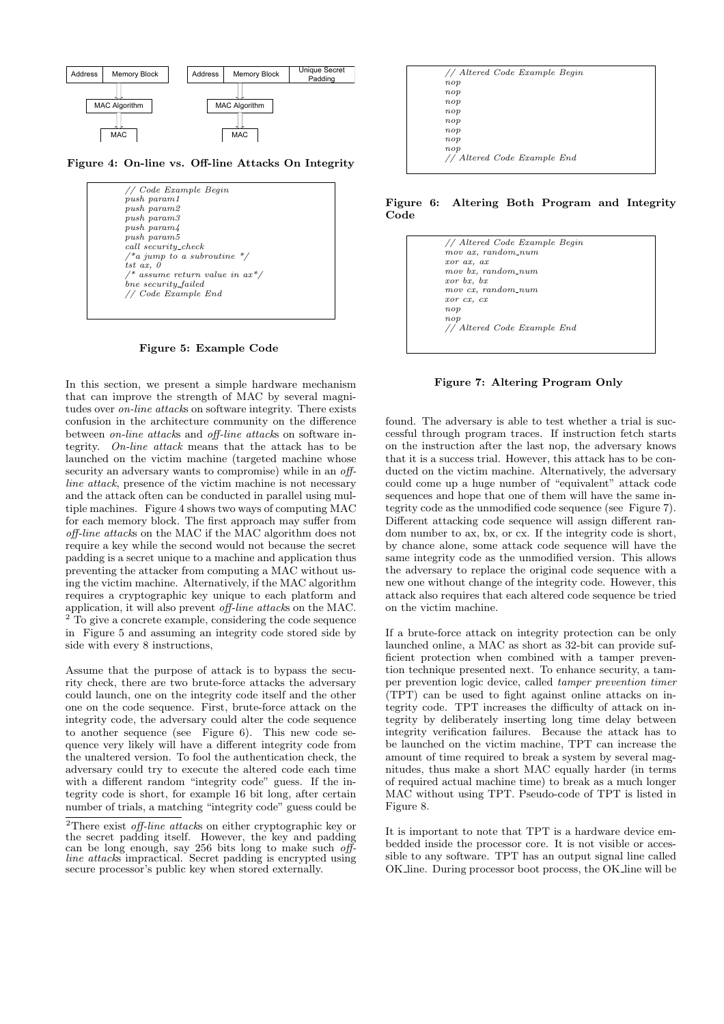

Figure 4: On-line vs. Off-line Attacks On Integrity



Figure 5: Example Code

In this section, we present a simple hardware mechanism that can improve the strength of MAC by several magnitudes over on-line attacks on software integrity. There exists confusion in the architecture community on the difference between on-line attacks and off-line attacks on software integrity. On-line attack means that the attack has to be launched on the victim machine (targeted machine whose security an adversary wants to compromise) while in an *off*line attack, presence of the victim machine is not necessary and the attack often can be conducted in parallel using multiple machines. Figure 4 shows two ways of computing MAC for each memory block. The first approach may suffer from off-line attacks on the MAC if the MAC algorithm does not require a key while the second would not because the secret padding is a secret unique to a machine and application thus preventing the attacker from computing a MAC without using the victim machine. Alternatively, if the MAC algorithm requires a cryptographic key unique to each platform and application, it will also prevent *off-line attacks* on the MAC. <sup>2</sup> To give a concrete example, considering the code sequence in Figure 5 and assuming an integrity code stored side by side with every 8 instructions,

Assume that the purpose of attack is to bypass the security check, there are two brute-force attacks the adversary could launch, one on the integrity code itself and the other one on the code sequence. First, brute-force attack on the integrity code, the adversary could alter the code sequence to another sequence (see Figure 6). This new code sequence very likely will have a different integrity code from the unaltered version. To fool the authentication check, the adversary could try to execute the altered code each time with a different random "integrity code" guess. If the integrity code is short, for example 16 bit long, after certain number of trials, a matching "integrity code" guess could be

| // Altered Code Example Begin |  |
|-------------------------------|--|
| nop                           |  |
| nop                           |  |
| nop                           |  |
| nop                           |  |
| nop                           |  |
| nop                           |  |
| nop                           |  |
| nop                           |  |
| // Altered Code Example End   |  |
|                               |  |

Figure 6: Altering Both Program and Integrity Code



Figure 7: Altering Program Only

found. The adversary is able to test whether a trial is successful through program traces. If instruction fetch starts on the instruction after the last nop, the adversary knows that it is a success trial. However, this attack has to be conducted on the victim machine. Alternatively, the adversary could come up a huge number of "equivalent" attack code sequences and hope that one of them will have the same integrity code as the unmodified code sequence (see Figure 7). Different attacking code sequence will assign different random number to ax, bx, or cx. If the integrity code is short, by chance alone, some attack code sequence will have the same integrity code as the unmodified version. This allows the adversary to replace the original code sequence with a new one without change of the integrity code. However, this attack also requires that each altered code sequence be tried on the victim machine.

If a brute-force attack on integrity protection can be only launched online, a MAC as short as 32-bit can provide sufficient protection when combined with a tamper prevention technique presented next. To enhance security, a tamper prevention logic device, called tamper prevention timer (TPT) can be used to fight against online attacks on integrity code. TPT increases the difficulty of attack on integrity by deliberately inserting long time delay between integrity verification failures. Because the attack has to be launched on the victim machine, TPT can increase the amount of time required to break a system by several magnitudes, thus make a short MAC equally harder (in terms of required actual machine time) to break as a much longer MAC without using TPT. Pseudo-code of TPT is listed in Figure 8.

It is important to note that TPT is a hardware device embedded inside the processor core. It is not visible or accessible to any software. TPT has an output signal line called OK line. During processor boot process, the OK line will be

<sup>&</sup>lt;sup>2</sup>There exist *off-line attacks* on either cryptographic key or the secret padding itself. However, the key and padding can be long enough, say 256 bits long to make such offline attacks impractical. Secret padding is encrypted using secure processor's public key when stored externally.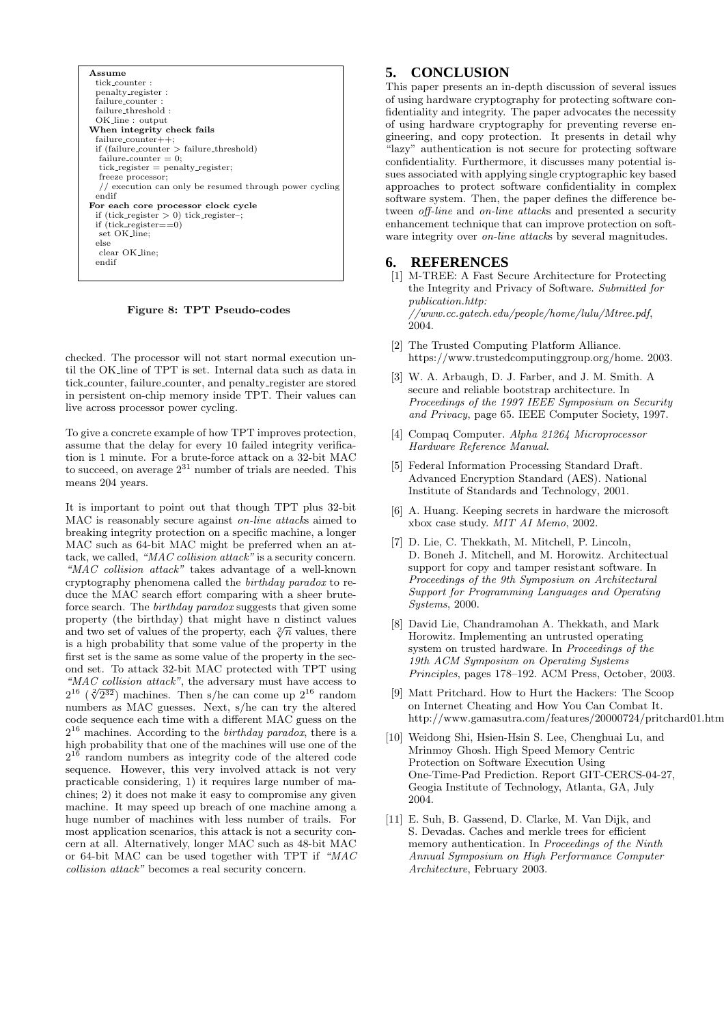

Figure 8: TPT Pseudo-codes

checked. The processor will not start normal execution until the OK line of TPT is set. Internal data such as data in tick counter, failure counter, and penalty register are stored in persistent on-chip memory inside TPT. Their values can live across processor power cycling.

To give a concrete example of how TPT improves protection, assume that the delay for every 10 failed integrity verification is 1 minute. For a brute-force attack on a 32-bit MAC to succeed, on average  $2^{31}$  number of trials are needed. This means 204 years.

It is important to point out that though TPT plus 32-bit MAC is reasonably secure against on-line attacks aimed to breaking integrity protection on a specific machine, a longer MAC such as 64-bit MAC might be preferred when an attack, we called, "MAC collision attack" is a security concern. "MAC collision attack" takes advantage of a well-known cryptography phenomena called the birthday paradox to reduce the MAC search effort comparing with a sheer bruteforce search. The birthday paradox suggests that given some property (the birthday) that might have n distinct values and two set of values of the property, each  $\sqrt[2]{n}$  values, there is a high probability that some value of the property in the first set is the same as some value of the property in the second set. To attack 32-bit MAC protected with TPT using "MAC collision attack", the adversary must have access to  $\frac{16}{2}$  ( $\frac{2(232)}{2}$ )  $2^{16}$  ( $\sqrt[2]{2^{32}}$ ) machines. Then s/he can come up  $2^{16}$  random numbers as MAC guesses. Next, s/he can try the altered code sequence each time with a different MAC guess on the  $2^{16}$  machines. According to the *birthday paradox*, there is a high probability that one of the machines will use one of the  $2^{16}$  random numbers as integrity code of the altered code sequence. However, this very involved attack is not very practicable considering, 1) it requires large number of machines; 2) it does not make it easy to compromise any given machine. It may speed up breach of one machine among a huge number of machines with less number of trails. For most application scenarios, this attack is not a security concern at all. Alternatively, longer MAC such as 48-bit MAC or 64-bit MAC can be used together with TPT if "MAC collision attack" becomes a real security concern.

### **5. CONCLUSION**

This paper presents an in-depth discussion of several issues of using hardware cryptography for protecting software confidentiality and integrity. The paper advocates the necessity of using hardware cryptography for preventing reverse engineering, and copy protection. It presents in detail why "lazy" authentication is not secure for protecting software confidentiality. Furthermore, it discusses many potential issues associated with applying single cryptographic key based approaches to protect software confidentiality in complex software system. Then, the paper defines the difference between off-line and on-line attacks and presented a security enhancement technique that can improve protection on software integrity over *on-line attacks* by several magnitudes.

#### **6. REFERENCES**

- [1] M-TREE: A Fast Secure Architecture for Protecting the Integrity and Privacy of Software. Submitted for publication.http: //www.cc.gatech.edu/people/home/lulu/Mtree.pdf, 2004.
- [2] The Trusted Computing Platform Alliance. https://www.trustedcomputinggroup.org/home. 2003.
- [3] W. A. Arbaugh, D. J. Farber, and J. M. Smith. A secure and reliable bootstrap architecture. In Proceedings of the 1997 IEEE Symposium on Security and Privacy, page 65. IEEE Computer Society, 1997.
- [4] Compaq Computer. Alpha 21264 Microprocessor Hardware Reference Manual.
- [5] Federal Information Processing Standard Draft. Advanced Encryption Standard (AES). National Institute of Standards and Technology, 2001.
- [6] A. Huang. Keeping secrets in hardware the microsoft xbox case study. MIT AI Memo, 2002.
- [7] D. Lie, C. Thekkath, M. Mitchell, P. Lincoln, D. Boneh J. Mitchell, and M. Horowitz. Architectual support for copy and tamper resistant software. In Proceedings of the 9th Symposium on Architectural Support for Programming Languages and Operating Systems, 2000.
- [8] David Lie, Chandramohan A. Thekkath, and Mark Horowitz. Implementing an untrusted operating system on trusted hardware. In Proceedings of the 19th ACM Symposium on Operating Systems Principles, pages 178–192. ACM Press, October, 2003.
- [9] Matt Pritchard. How to Hurt the Hackers: The Scoop on Internet Cheating and How You Can Combat It. http://www.gamasutra.com/features/20000724/pritchard01.htm.
- [10] Weidong Shi, Hsien-Hsin S. Lee, Chenghuai Lu, and Mrinmoy Ghosh. High Speed Memory Centric Protection on Software Execution Using One-Time-Pad Prediction. Report GIT-CERCS-04-27, Geogia Institute of Technology, Atlanta, GA, July 2004.
- [11] E. Suh, B. Gassend, D. Clarke, M. Van Dijk, and S. Devadas. Caches and merkle trees for efficient memory authentication. In Proceedings of the Ninth Annual Symposium on High Performance Computer Architecture, February 2003.